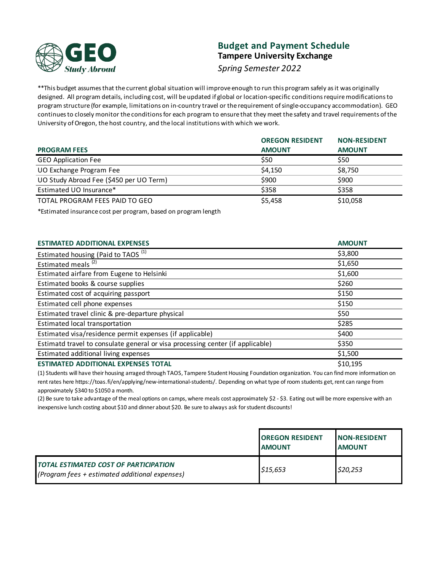

# **Budget and Payment Schedule Tampere University Exchange**

*Spring Semester 2022*

\*\*This budget assumes that the current global situation will improve enough to run this program safely as it was originally designed. All program details, including cost, will be updated if global or location-specific conditions require modifications to program structure (for example, limitations on in-country travel or the requirement of single-occupancy accommodation). GEO continues to closely monitor the conditions for each program to ensure that they meet the safety and travel requirements of the University of Oregon, the host country, and the local institutions with which we work.

|                                         | <b>OREGON RESIDENT</b> | <b>NON-RESIDENT</b> |
|-----------------------------------------|------------------------|---------------------|
| <b>PROGRAM FEES</b>                     | <b>AMOUNT</b>          | <b>AMOUNT</b>       |
| <b>GEO Application Fee</b>              | \$50                   | \$50                |
| UO Exchange Program Fee                 | \$4,150                | \$8,750             |
| UO Study Abroad Fee (\$450 per UO Term) | \$900                  | \$900               |
| Estimated UO Insurance*                 | \$358                  | \$358               |
| TOTAL PROGRAM FEES PAID TO GEO          | \$5,458                | \$10,058            |

\*Estimated insurance cost per program, based on program length

| <b>ESTIMATED ADDITIONAL EXPENSES</b>                                           | <b>AMOUNT</b> |
|--------------------------------------------------------------------------------|---------------|
| Estimated housing (Paid to TAOS <sup>(1)</sup>                                 | \$3,800       |
| Estimated meals <sup>(2)</sup>                                                 | \$1,650       |
| Estimated airfare from Eugene to Helsinki                                      | \$1,600       |
| Estimated books & course supplies                                              | \$260         |
| Estimated cost of acquiring passport                                           | \$150         |
| Estimated cell phone expenses                                                  | \$150         |
| Estimated travel clinic & pre-departure physical                               | \$50          |
| Estimated local transportation                                                 | \$285         |
| Estimated visa/residence permit expenses (if applicable)                       | \$400         |
| Estimatd travel to consulate general or visa processing center (if applicable) | \$350         |
| Estimated additional living expenses                                           | \$1,500       |
| <b>ESTIMATED ADDITIONAL EXPENSES TOTAL</b>                                     | \$10,195      |

(1) Students will have their housing arraged through TAOS, Tampere Student Housing Foundation organization. You can find more information on rent rates here https://toas.fi/en/applying/new-international-students/. Depending on what type of room students get, rent can range from approximately \$340 to \$1050 a month.

(2) Be sure to take advantage of the meal options on camps, where meals cost approximately \$2 - \$3. Eating out will be more expensive with an inexpensive lunch costing about \$10 and dinner about \$20. Be sure to always ask for student discounts!

|                                                                                                | <b>OREGON RESIDENT</b><br><b>AMOUNT</b> | <b>INON-RESIDENT</b><br><b>AMOUNT</b> |
|------------------------------------------------------------------------------------------------|-----------------------------------------|---------------------------------------|
| <b>TOTAL ESTIMATED COST OF PARTICIPATION</b><br>(Program fees + estimated additional expenses) | \$15,653                                | \$20,253                              |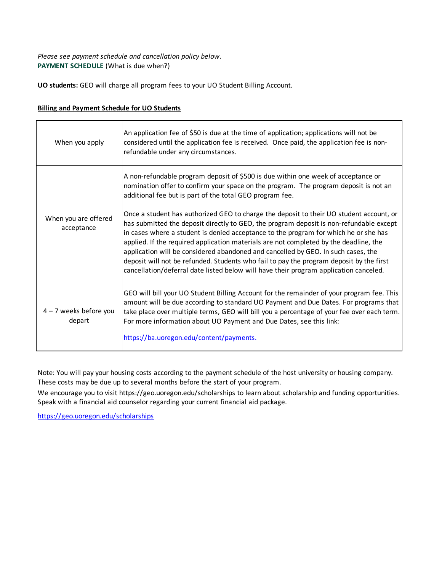## **PAYMENT SCHEDULE** (What is due when?) *Please see payment schedule and cancellation policy below.*

**UO students:** GEO will charge all program fees to your UO Student Billing Account.

| <b>Billing and Payment Schedule for UO Students</b> |  |
|-----------------------------------------------------|--|
|                                                     |  |

| When you apply                     | An application fee of \$50 is due at the time of application; applications will not be<br>considered until the application fee is received. Once paid, the application fee is non-<br>refundable under any circumstances.                                                                                                                                                                                                                                                                                                                                                                                                                    |
|------------------------------------|----------------------------------------------------------------------------------------------------------------------------------------------------------------------------------------------------------------------------------------------------------------------------------------------------------------------------------------------------------------------------------------------------------------------------------------------------------------------------------------------------------------------------------------------------------------------------------------------------------------------------------------------|
|                                    | A non-refundable program deposit of \$500 is due within one week of acceptance or<br>nomination offer to confirm your space on the program. The program deposit is not an<br>additional fee but is part of the total GEO program fee.                                                                                                                                                                                                                                                                                                                                                                                                        |
| When you are offered<br>acceptance | Once a student has authorized GEO to charge the deposit to their UO student account, or<br>has submitted the deposit directly to GEO, the program deposit is non-refundable except<br>in cases where a student is denied acceptance to the program for which he or she has<br>applied. If the required application materials are not completed by the deadline, the<br>application will be considered abandoned and cancelled by GEO. In such cases, the<br>deposit will not be refunded. Students who fail to pay the program deposit by the first<br>cancellation/deferral date listed below will have their program application canceled. |
| $4 - 7$ weeks before you<br>depart | GEO will bill your UO Student Billing Account for the remainder of your program fee. This<br>amount will be due according to standard UO Payment and Due Dates. For programs that<br>take place over multiple terms, GEO will bill you a percentage of your fee over each term.<br>For more information about UO Payment and Due Dates, see this link:<br>https://ba.uoregon.edu/content/payments.                                                                                                                                                                                                                                           |

Note: You will pay your housing costs according to the payment schedule of the host university or housing company. These costs may be due up to several months before the start of your program.

We encourage you to visit https://geo.uoregon.edu/scholarships to learn about scholarship and funding opportunities. Speak with a financial aid counselor regarding your current financial aid package.

https://geo.uoregon.edu/scholarships